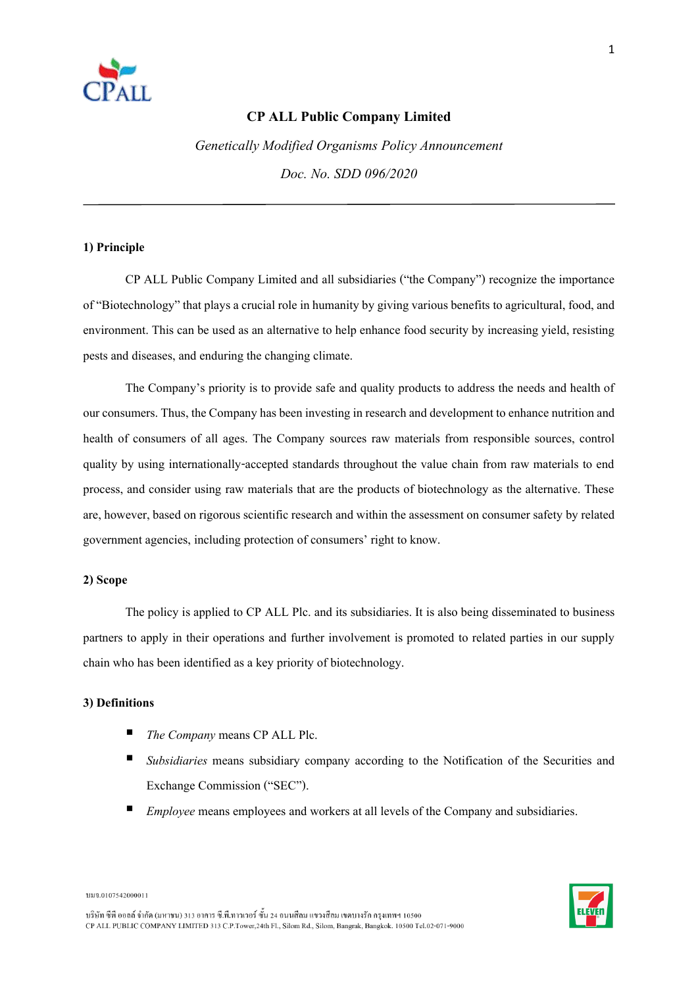

# **CP ALL Public Company Limited**

*Genetically Modified Organisms Policy Announcement Doc. No. SDD 096/2020*

### **1) Principle**

CP ALL Public Company Limited and all subsidiaries ("the Company") recognize the importance of "Biotechnology" that plays a crucial role inhumanity bygiving various benefits to agricultural, food, and environment. This can be used as an alternative to help enhance food security by increasing yield, resisting pests and diseases, and enduring the changing climate.

The Company's priority is to provide safe and quality products to address the needs and health of our consumers. Thus, the Company has been investing in research and development to enhance nutrition and health of consumers of all ages. The Company sources raw materials from responsible sources, control quality by using internationally-accepted standards throughout the value chain from raw materials to end process, and consider using raw materials that are the products of biotechnology as the alternative. These are, however, based on rigorous scientific research and within the assessment on consumer safety by related government agencies, including protection of consumers' right to know.

#### **2) Scope**

The policy is applied to CP ALL Plc. and its subsidiaries. It is also being disseminated to business partners to apply in their operations and further involvement is promoted to related parties in our supply chain who has been identified as a key priority of biotechnology.

### **3) Definitions**

- *The Company* means CP ALL Plc.
- *Subsidiaries* means subsidiary company according to the Notification of the Securities and Exchange Commission ("SEC").
- *Employee* means employees and workers at all levels of the Company and subsidiaries.